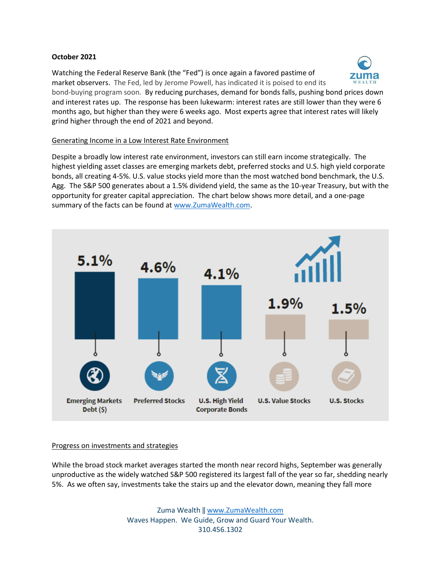### **October 2021**

Watching the Federal Reserve Bank (the "Fed") is once again a favored pastime of market observers. The Fed, led by Jerome Powell, has indicated it is poised to end its bond-buying program soon. By reducing purchases, demand for bonds falls, pushing bond prices down and interest rates up. The response has been lukewarm: interest rates are still lower than they were 6 months ago, but higher than they were 6 weeks ago. Most experts agree that interest rates will likely grind higher through the end of 2021 and beyond.

### Generating Income in a Low Interest Rate Environment

Despite a broadly low interest rate environment, investors can still earn income strategically. The highest yielding asset classes are emerging markets debt, preferred stocks and U.S. high yield corporate bonds, all creating 4-5%. U.S. value stocks yield more than the most watched bond benchmark, the U.S. Agg. The S&P 500 generates about a 1.5% dividend yield, the same as the 10-year Treasury, but with the opportunity for greater capital appreciation. The chart below shows more detail, and a one-page summary of the facts can be found a[t www.ZumaWealth.com.](http://www.zumawealth.com/)



## Progress on investments and strategies

While the broad stock market averages started the month near record highs, September was generally unproductive as the widely watched S&P 500 registered its largest fall of the year so far, shedding nearly 5%. As we often say, investments take the stairs up and the elevator down, meaning they fall more

> Zuma Wealth ‖ [www.ZumaWealth.com](http://www.zumawealth.com/) Waves Happen. We Guide, Grow and Guard Your Wealth. 310.456.1302